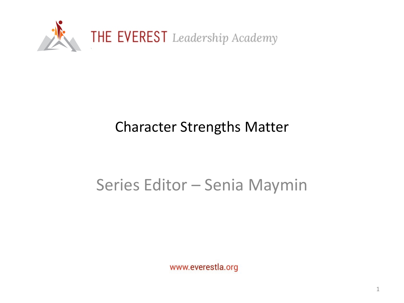

## Character Strengths Matter

## Series Editor – Senia Maymin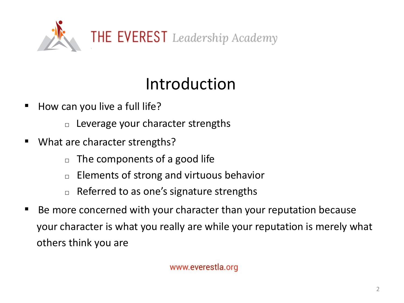

# Introduction

- How can you live a full life?
	- $\Box$  Leverage your character strengths
- What are character strengths?
	- $\Box$  The components of a good life
	- □ Elements of strong and virtuous behavior
	- $\Box$  Referred to as one's signature strengths
- Be more concerned with your character than your reputation because your character is what you really are while your reputation is merely what others think you are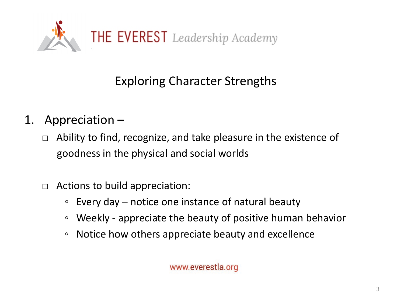

### Exploring Character Strengths

- 1. Appreciation
	- $\Box$  Ability to find, recognize, and take pleasure in the existence of goodness in the physical and social worlds
	- $\Box$  Actions to build appreciation:
		- Every day notice one instance of natural beauty
		- Weekly appreciate the beauty of positive human behavior
		- Notice how others appreciate beauty and excellence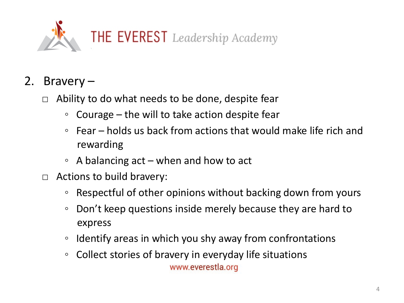

- 2. Bravery
	- $\Box$  Ability to do what needs to be done, despite fear
		- Courage the will to take action despite fear
		- Fear holds us back from actions that would make life rich and rewarding
		- $\circ$  A balancing act when and how to act
	- $\Box$  Actions to build bravery:
		- Respectful of other opinions without backing down from yours
		- Don't keep questions inside merely because they are hard to express
		- Identify areas in which you shy away from confrontations
		- Collect stories of bravery in everyday life situations www.everestla.org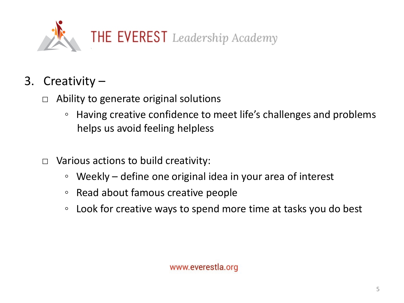

- 3. Creativity
	- $\Box$  Ability to generate original solutions
		- Having creative confidence to meet life's challenges and problems helps us avoid feeling helpless
	- $\Box$  Various actions to build creativity:
		- Weekly define one original idea in your area of interest
		- Read about famous creative people
		- Look for creative ways to spend more time at tasks you do best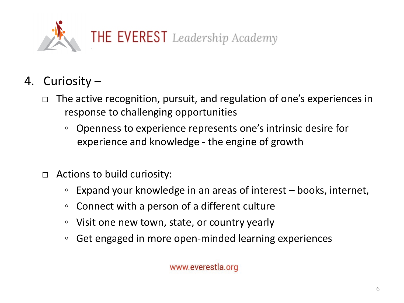

- 4. Curiosity
	- The active recognition, pursuit, and regulation of one's experiences in response to challenging opportunities
		- Openness to experience represents one's intrinsic desire for experience and knowledge - the engine of growth
	- $\Box$  Actions to build curiosity:
		- Expand your knowledge in an areas of interest books, internet,
		- Connect with a person of a different culture
		- Visit one new town, state, or country yearly
		- Get engaged in more open-minded learning experiences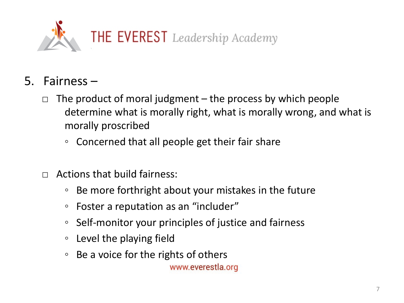

- 5. Fairness
	- The product of moral judgment  $-$  the process by which people determine what is morally right, what is morally wrong, and what is morally proscribed
		- Concerned that all people get their fair share
	- $\Box$  Actions that build fairness:
		- Be more forthright about your mistakes in the future
		- Foster a reputation as an "includer"
		- Self-monitor your principles of justice and fairness
		- Level the playing field
		- Be a voice for the rights of others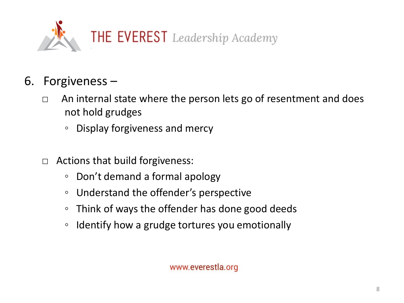

- 6. Forgiveness
	- □ An internal state where the person lets go of resentment and does not hold grudges
		- Display forgiveness and mercy
	- $\Box$  Actions that build forgiveness:
		- Don't demand a formal apology
		- Understand the offender's perspective
		- Think of ways the offender has done good deeds
		- Identify how a grudge tortures you emotionally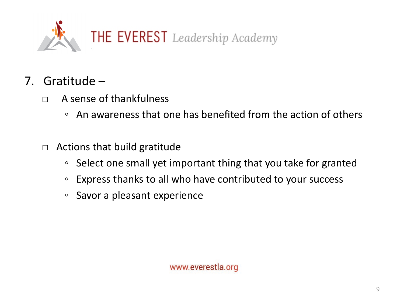

- 7. Gratitude
	- □ A sense of thankfulness
		- An awareness that one has benefited from the action of others
	- $\Box$  Actions that build gratitude
		- Select one small yet important thing that you take for granted
		- Express thanks to all who have contributed to your success
		- Savor a pleasant experience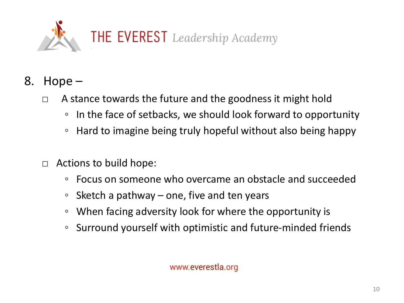

- 8. Hope
	- $\Box$  A stance towards the future and the goodness it might hold
		- In the face of setbacks, we should look forward to opportunity
		- Hard to imagine being truly hopeful without also being happy
	- $\Box$  Actions to build hope:
		- Focus on someone who overcame an obstacle and succeeded
		- Sketch a pathway one, five and ten years
		- When facing adversity look for where the opportunity is
		- Surround yourself with optimistic and future-minded friends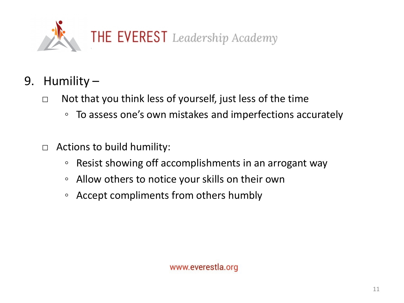

- 9. Humility
	- □ Not that you think less of yourself, just less of the time
		- To assess one's own mistakes and imperfections accurately
	- $\Box$  Actions to build humility:
		- Resist showing off accomplishments in an arrogant way
		- Allow others to notice your skills on their own
		- Accept compliments from others humbly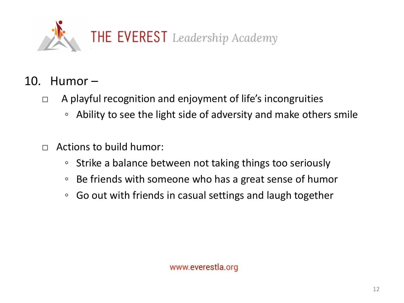

- 10. Humor
	- □ A playful recognition and enjoyment of life's incongruities
		- Ability to see the light side of adversity and make others smile
	- $\Box$  Actions to build humor:
		- Strike a balance between not taking things too seriously
		- Be friends with someone who has a great sense of humor
		- Go out with friends in casual settings and laugh together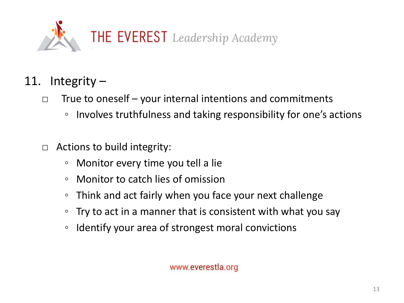

- 11. Integrity
	- $\Box$  True to oneself your internal intentions and commitments
		- Involves truthfulness and taking responsibility for one's actions
	- $\Box$  Actions to build integrity:
		- Monitor every time you tell a lie
		- Monitor to catch lies of omission
		- Think and act fairly when you face your next challenge
		- Try to act in a manner that is consistent with what you say
		- Identify your area of strongest moral convictions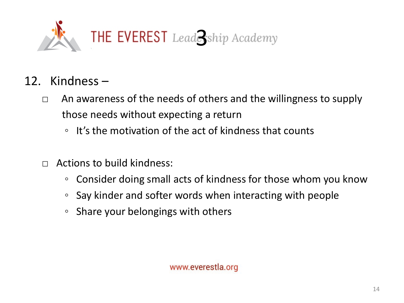

- 12. Kindness
	- $\Box$  An awareness of the needs of others and the willingness to supply those needs without expecting a return
		- It's the motivation of the act of kindness that counts
	- $\Box$  Actions to build kindness:
		- Consider doing small acts of kindness for those whom you know
		- Say kinder and softer words when interacting with people
		- Share your belongings with others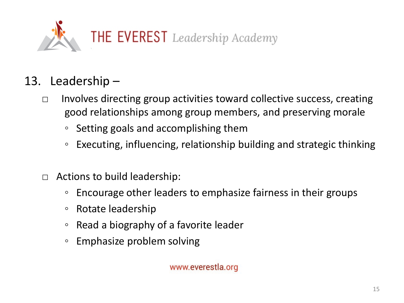

## 13. Leadership –

- $\Box$  Involves directing group activities toward collective success, creating good relationships among group members, and preserving morale
	- Setting goals and accomplishing them
	- Executing, influencing, relationship building and strategic thinking
- $\Box$  Actions to build leadership:
	- Encourage other leaders to emphasize fairness in their groups
	- Rotate leadership
	- Read a biography of a favorite leader
	- Emphasize problem solving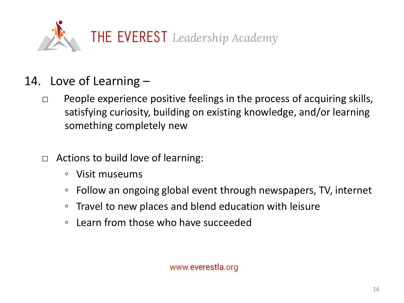

- 14. Love of Learning
	- $\Box$  People experience positive feelings in the process of acquiring skills, satisfying curiosity, building on existing knowledge, and/or learning something completely new
	- □ Actions to build love of learning:
		- Visit museums
		- Follow an ongoing global event through newspapers, TV, internet
		- Travel to new places and blend education with leisure
		- Learn from those who have succeeded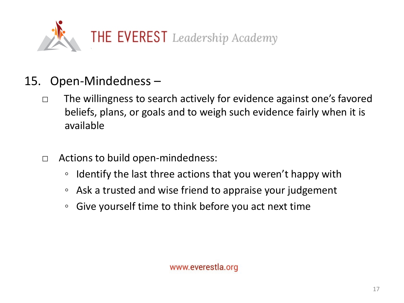

#### 15. Open-Mindedness –

- □ The willingness to search actively for evidence against one's favored beliefs, plans, or goals and to weigh such evidence fairly when it is available
- □ Actions to build open-mindedness:
	- Identify the last three actions that you weren't happy with
	- Ask a trusted and wise friend to appraise your judgement
	- Give yourself time to think before you act next time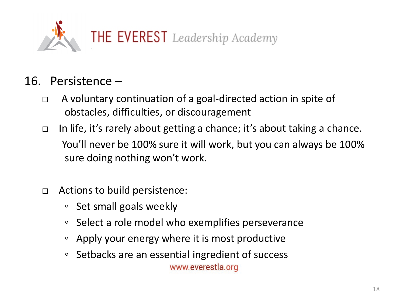

#### 16. Persistence –

- □ A voluntary continuation of a goal-directed action in spite of obstacles, difficulties, or discouragement
- $\Box$  In life, it's rarely about getting a chance; it's about taking a chance. You'll never be 100% sure it will work, but you can always be 100% sure doing nothing won't work.
- □ Actions to build persistence:
	- Set small goals weekly
	- Select a role model who exemplifies perseverance
	- Apply your energy where it is most productive
	- Setbacks are an essential ingredient of success www.everestla.org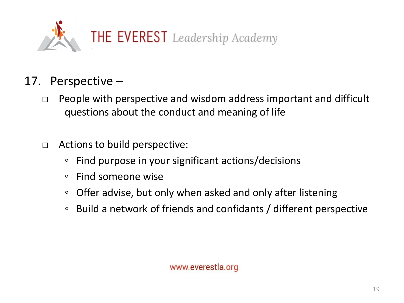

#### 17. Perspective –

- $\Box$  People with perspective and wisdom address important and difficult questions about the conduct and meaning of life
- □ Actions to build perspective:
	- Find purpose in your significant actions/decisions
	- Find someone wise
	- Offer advise, but only when asked and only after listening
	- Build a network of friends and confidants / different perspective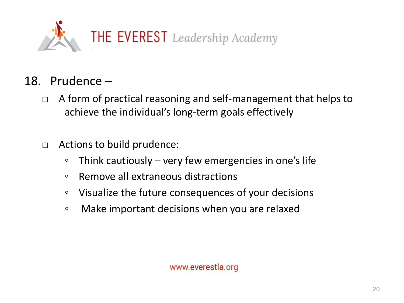

- 18. Prudence
	- □ A form of practical reasoning and self-management that helps to achieve the individual's long-term goals effectively
	- □ Actions to build prudence:
		- Think cautiously very few emergencies in one's life
		- Remove all extraneous distractions
		- Visualize the future consequences of your decisions
		- Make important decisions when you are relaxed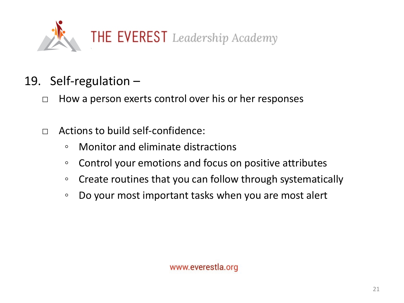

- 19. Self-regulation
	- □ How a person exerts control over his or her responses
	- $\Box$  Actions to build self-confidence:
		- Monitor and eliminate distractions
		- Control your emotions and focus on positive attributes
		- Create routines that you can follow through systematically
		- Do your most important tasks when you are most alert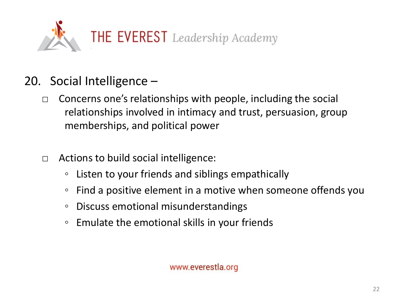

- 20. Social Intelligence
	- $\Box$  Concerns one's relationships with people, including the social relationships involved in intimacy and trust, persuasion, group memberships, and political power
	- $\Box$  Actions to build social intelligence:
		- Listen to your friends and siblings empathically
		- Find a positive element in a motive when someone offends you
		- Discuss emotional misunderstandings
		- Emulate the emotional skills in your friends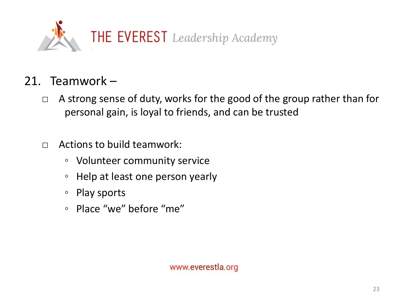

#### 21. Teamwork –

- □ A strong sense of duty, works for the good of the group rather than for personal gain, is loyal to friends, and can be trusted
- $\Box$  Actions to build teamwork:
	- Volunteer community service
	- Help at least one person yearly
	- Play sports
	- Place "we" before "me"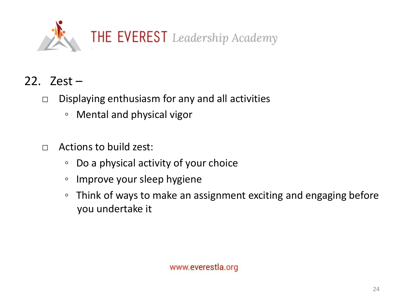

- 22. Zest
	- $\Box$  Displaying enthusiasm for any and all activities
		- Mental and physical vigor
	- $\Box$  Actions to build zest:
		- Do a physical activity of your choice
		- Improve your sleep hygiene
		- Think of ways to make an assignment exciting and engaging before you undertake it